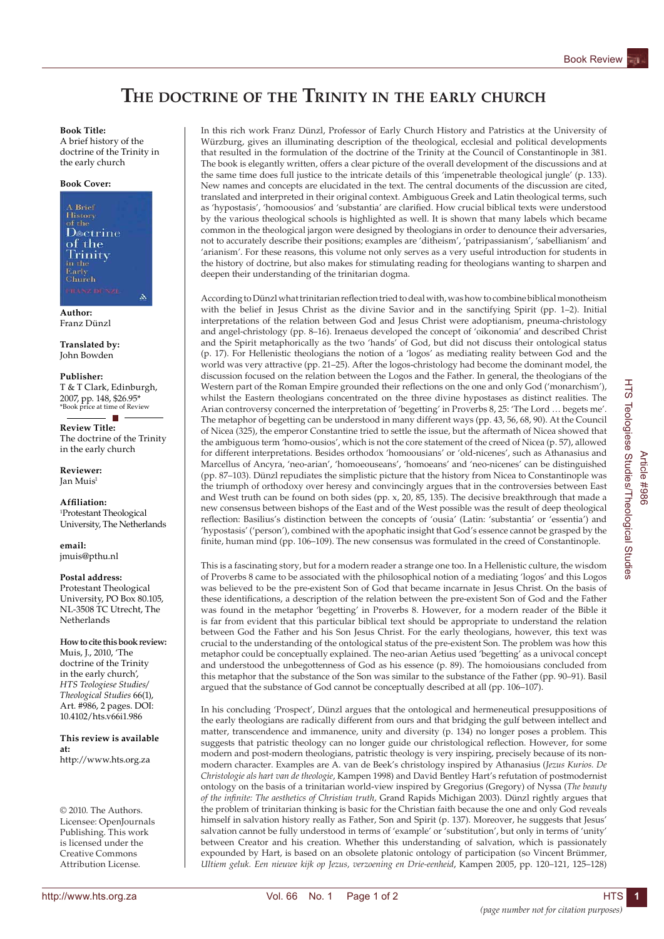# **The doctrine of the Trinity in the early church**

### **Book Title:**

A brief history of the doctrine of the Trinity in the early church

#### **Book Cover:**



**Author:** Franz Dünzl

**Translated by:** John Bowden

**Publisher:** T & T Clark, Edinburgh, 2007, pp. 148, \$26.95\* \*Book price at time of Review

. п **Review Title:** The doctrine of the Trinity in the early church

**Reviewer:** Jan Muis1

**Affiliation:** 1 Protestant Theological University, The Netherlands

**email:** jmuis@pthu.nl

#### **Postal address:**

Protestant Theological University, PO Box 80.105, NL-3508 TC Utrecht, The **Netherlands** 

## **How to cite this book review:**

Muis, J., 2010, 'The doctrine of the Trinity in the early church', *HTS Teologiese Studies/ Theological Studies* 66(1), Art. #986, 2 pages. DOI: 10.4102/hts.v66i1.986

**This review is available at:** http://www.hts.org.za

© 2010. The Authors. Licensee: OpenJournals Publishing. This work is licensed under the Creative Commons Attribution License.

In this rich work Franz Dünzl, Professor of Early Church History and Patristics at the University of Würzburg, gives an illuminating description of the theological, ecclesial and political developments that resulted in the formulation of the doctrine of the Trinity at the Council of Constantinople in 381. The book is elegantly written, offers a clear picture of the overall development of the discussions and at the same time does full justice to the intricate details of this 'impenetrable theological jungle' (p. 133). New names and concepts are elucidated in the text. The central documents of the discussion are cited, translated and interpreted in their original context. Ambiguous Greek and Latin theological terms, such as 'hypostasis', 'homoousios' and 'substantia' are clarified. How crucial biblical texts were understood by the various theological schools is highlighted as well. It is shown that many labels which became common in the theological jargon were designed by theologians in order to denounce their adversaries, not to accurately describe their positions; examples are 'ditheism', 'patripassianism', 'sabellianism' and 'arianism'. For these reasons, this volume not only serves as a very useful introduction for students in the history of doctrine, but also makes for stimulating reading for theologians wanting to sharpen and deepen their understanding of the trinitarian dogma.

According to Dünzl what trinitarian reflection tried to deal with, was how to combine biblical monotheism with the belief in Jesus Christ as the divine Savior and in the sanctifying Spirit (pp. 1–2). Initial interpretations of the relation between God and Jesus Christ were adoptianism, pneuma-christology and angel-christology (pp. 8–16). Irenaeus developed the concept of 'oikonomia' and described Christ and the Spirit metaphorically as the two 'hands' of God, but did not discuss their ontological status (p. 17). For Hellenistic theologians the notion of a 'logos' as mediating reality between God and the world was very attractive (pp. 21–25). After the logos-christology had become the dominant model, the discussion focused on the relation between the Logos and the Father. In general, the theologians of the Western part of the Roman Empire grounded their reflections on the one and only God ('monarchism'), whilst the Eastern theologians concentrated on the three divine hypostases as distinct realities. The Arian controversy concerned the interpretation of 'begetting' in Proverbs 8, 25: 'The Lord … begets me'. The metaphor of begetting can be understood in many different ways (pp. 43, 56, 68, 90). At the Council of Nicea (325), the emperor Constantine tried to settle the issue, but the aftermath of Nicea showed that the ambiguous term 'homo-ousios', which is not the core statement of the creed of Nicea (p. 57), allowed for different interpretations. Besides orthodox 'homoousians' or 'old-nicenes', such as Athanasius and Marcellus of Ancyra, 'neo-arian', 'homoeouseans', 'homoeans' and 'neo-nicenes' can be distinguished (pp. 87–103). Dünzl repudiates the simplistic picture that the history from Nicea to Constantinople was the triumph of orthodoxy over heresy and convincingly argues that in the controversies between East and West truth can be found on both sides (pp. x, 20, 85, 135). The decisive breakthrough that made a new consensus between bishops of the East and of the West possible was the result of deep theological reflection: Basilius's distinction between the concepts of 'ousia' (Latin: 'substantia' or 'essentia') and 'hypostasis' ('person'), combined with the apophatic insight that God's essence cannot be grasped by the finite, human mind (pp. 106–109). The new consensus was formulated in the creed of Constantinople.

This is a fascinating story, but for a modern reader a strange one too. In a Hellenistic culture, the wisdom of Proverbs 8 came to be associated with the philosophical notion of a mediating 'logos' and this Logos was believed to be the pre-existent Son of God that became incarnate in Jesus Christ. On the basis of these identifications, a description of the relation between the pre-existent Son of God and the Father was found in the metaphor 'begetting' in Proverbs 8. However, for a modern reader of the Bible it is far from evident that this particular biblical text should be appropriate to understand the relation between God the Father and his Son Jesus Christ. For the early theologians, however, this text was crucial to the understanding of the ontological status of the pre-existent Son. The problem was how this metaphor could be conceptually explained. The neo-arian Aetius used 'begetting' as a univocal concept and understood the unbegottenness of God as his essence (p. 89). The homoiousians concluded from this metaphor that the substance of the Son was similar to the substance of the Father (pp. 90–91). Basil argued that the substance of God cannot be conceptually described at all (pp. 106–107).

In his concluding 'Prospect', Dünzl argues that the ontological and hermeneutical presuppositions of the early theologians are radically different from ours and that bridging the gulf between intellect and matter, transcendence and immanence, unity and diversity (p. 134) no longer poses a problem. This suggests that patristic theology can no longer guide our christological reflection. However, for some modern and post-modern theologians, patristic theology is very inspiring, precisely because of its nonmodern character. Examples are A. van de Beek's christology inspired by Athanasius (*Jezus Kurios. De Christologie als hart van de theologie*, Kampen 1998) and David Bentley Hart's refutation of postmodernist ontology on the basis of a trinitarian world-view inspired by Gregorius (Gregory) of Nyssa (*The beauty of the infinite: The aesthetics of Christian truth,* Grand Rapids Michigan 2003). Dünzl rightly argues that the problem of trinitarian thinking is basic for the Christian faith because the one and only God reveals himself in salvation history really as Father, Son and Spirit (p. 137). Moreover, he suggests that Jesus' salvation cannot be fully understood in terms of 'example' or 'substitution', but only in terms of 'unity' between Creator and his creation. Whether this understanding of salvation, which is passionately expounded by Hart, is based on an obsolete platonic ontology of participation (so Vincent Brümmer, *Ultiem geluk. Een nieuwe kijk op Jezus, verzoening en Drie-eenheid*, Kampen 2005, pp. 120–121, 125–128)